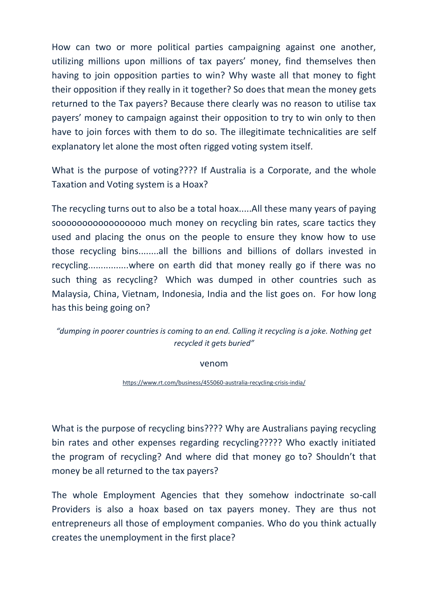How can two or more political parties campaigning against one another, utilizing millions upon millions of tax payers' money, find themselves then having to join opposition parties to win? Why waste all that money to fight their opposition if they really in it together? So does that mean the money gets returned to the Tax payers? Because there clearly was no reason to utilise tax payers' money to campaign against their opposition to try to win only to then have to join forces with them to do so. The illegitimate technicalities are self explanatory let alone the most often rigged voting system itself.

What is the purpose of voting???? If Australia is a Corporate, and the whole Taxation and Voting system is a Hoax?

The recycling turns out to also be a total hoax.....All these many years of paying sooooooooooooooooo much money on recycling bin rates, scare tactics they used and placing the onus on the people to ensure they know how to use those recycling bins........all the billions and billions of dollars invested in recycling................where on earth did that money really go if there was no such thing as recycling? Which was dumped in other countries such as Malaysia, China, Vietnam, Indonesia, India and the list goes on. For how long has this being going on?

*"dumping in poorer countries is coming to an end. Calling it recycling is a joke. Nothing get recycled it gets buried"*

venom

<https://www.rt.com/business/455060-australia-recycling-crisis-india/>

What is the purpose of recycling bins???? Why are Australians paying recycling bin rates and other expenses regarding recycling????? Who exactly initiated the program of recycling? And where did that money go to? Shouldn't that money be all returned to the tax payers?

The whole Employment Agencies that they somehow indoctrinate so-call Providers is also a hoax based on tax payers money. They are thus not entrepreneurs all those of employment companies. Who do you think actually creates the unemployment in the first place?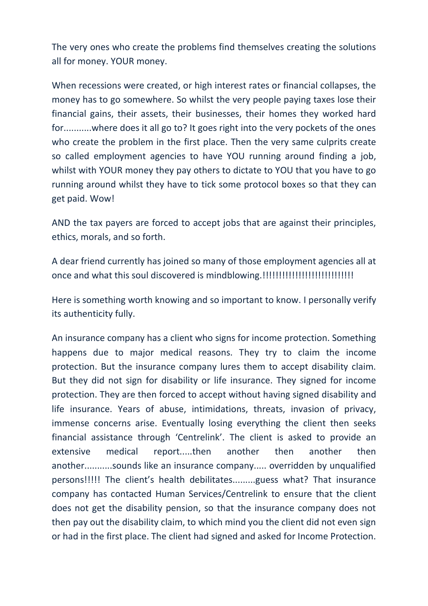The very ones who create the problems find themselves creating the solutions all for money. YOUR money.

When recessions were created, or high interest rates or financial collapses, the money has to go somewhere. So whilst the very people paying taxes lose their financial gains, their assets, their businesses, their homes they worked hard for...........where does it all go to? It goes right into the very pockets of the ones who create the problem in the first place. Then the very same culprits create so called employment agencies to have YOU running around finding a job, whilst with YOUR money they pay others to dictate to YOU that you have to go running around whilst they have to tick some protocol boxes so that they can get paid. Wow!

AND the tax payers are forced to accept jobs that are against their principles, ethics, morals, and so forth.

A dear friend currently has joined so many of those employment agencies all at once and what this soul discovered is mindblowing.!!!!!!!!!!!!!!!!!!!!!!!!!!!!

Here is something worth knowing and so important to know. I personally verify its authenticity fully.

An insurance company has a client who signs for income protection. Something happens due to major medical reasons. They try to claim the income protection. But the insurance company lures them to accept disability claim. But they did not sign for disability or life insurance. They signed for income protection. They are then forced to accept without having signed disability and life insurance. Years of abuse, intimidations, threats, invasion of privacy, immense concerns arise. Eventually losing everything the client then seeks financial assistance through 'Centrelink'. The client is asked to provide an extensive medical report.....then another then another then another...........sounds like an insurance company..... overridden by unqualified persons!!!!! The client's health debilitates.........guess what? That insurance company has contacted Human Services/Centrelink to ensure that the client does not get the disability pension, so that the insurance company does not then pay out the disability claim, to which mind you the client did not even sign or had in the first place. The client had signed and asked for Income Protection.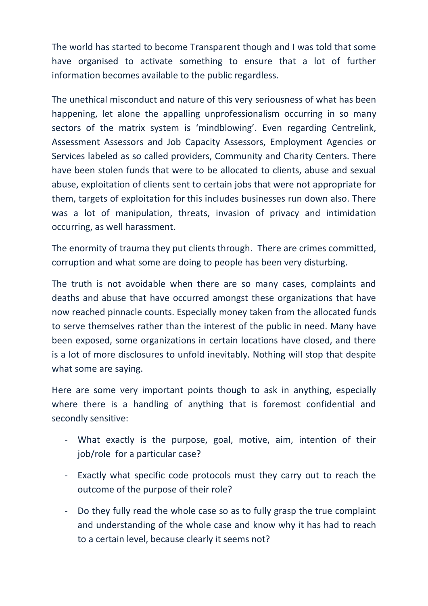The world has started to become Transparent though and I was told that some have organised to activate something to ensure that a lot of further information becomes available to the public regardless.

The unethical misconduct and nature of this very seriousness of what has been happening, let alone the appalling unprofessionalism occurring in so many sectors of the matrix system is 'mindblowing'. Even regarding Centrelink, Assessment Assessors and Job Capacity Assessors, Employment Agencies or Services labeled as so called providers, Community and Charity Centers. There have been stolen funds that were to be allocated to clients, abuse and sexual abuse, exploitation of clients sent to certain jobs that were not appropriate for them, targets of exploitation for this includes businesses run down also. There was a lot of manipulation, threats, invasion of privacy and intimidation occurring, as well harassment.

The enormity of trauma they put clients through. There are crimes committed, corruption and what some are doing to people has been very disturbing.

The truth is not avoidable when there are so many cases, complaints and deaths and abuse that have occurred amongst these organizations that have now reached pinnacle counts. Especially money taken from the allocated funds to serve themselves rather than the interest of the public in need. Many have been exposed, some organizations in certain locations have closed, and there is a lot of more disclosures to unfold inevitably. Nothing will stop that despite what some are saying.

Here are some very important points though to ask in anything, especially where there is a handling of anything that is foremost confidential and secondly sensitive:

- What exactly is the purpose, goal, motive, aim, intention of their job/role for a particular case?
- Exactly what specific code protocols must they carry out to reach the outcome of the purpose of their role?
- Do they fully read the whole case so as to fully grasp the true complaint and understanding of the whole case and know why it has had to reach to a certain level, because clearly it seems not?